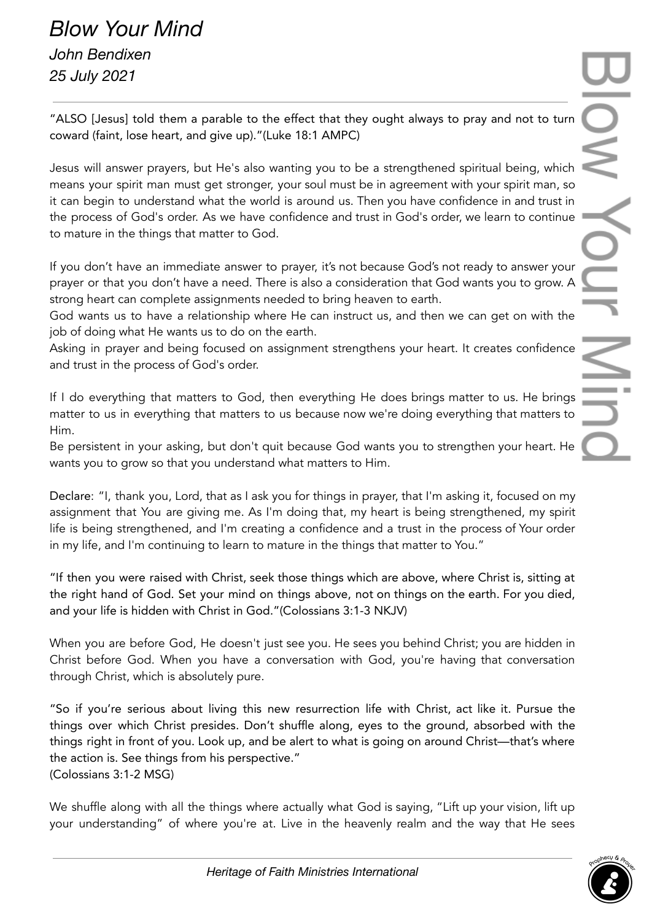## *Blow Your Mind John Bendixen 25 July 2021*

"ALSO [Jesus] told them a parable to the effect that they ought always to pray and not to turn coward (faint, lose heart, and give up)."(Luke 18:1 AMPC)

Jesus will answer prayers, but He's also wanting you to be a strengthened spiritual being, which means your spirit man must get stronger, your soul must be in agreement with your spirit man, so it can begin to understand what the world is around us. Then you have confidence in and trust in the process of God's order. As we have confidence and trust in God's order, we learn to continue to mature in the things that matter to God.

If you don't have an immediate answer to prayer, it's not because God's not ready to answer your prayer or that you don't have a need. There is also a consideration that God wants you to grow. A strong heart can complete assignments needed to bring heaven to earth.

God wants us to have a relationship where He can instruct us, and then we can get on with the job of doing what He wants us to do on the earth.

Asking in prayer and being focused on assignment strengthens your heart. It creates confidence and trust in the process of God's order.

If I do everything that matters to God, then everything He does brings matter to us. He brings matter to us in everything that matters to us because now we're doing everything that matters to Him.

Be persistent in your asking, but don't quit because God wants you to strengthen your heart. He wants you to grow so that you understand what matters to Him.

Declare: "I, thank you, Lord, that as I ask you for things in prayer, that I'm asking it, focused on my assignment that You are giving me. As I'm doing that, my heart is being strengthened, my spirit life is being strengthened, and I'm creating a confidence and a trust in the process of Your order in my life, and I'm continuing to learn to mature in the things that matter to You."

"If then you were raised with Christ, seek those things which are above, where Christ is, sitting at the right hand of God. Set your mind on things above, not on things on the earth. For you died, and your life is hidden with Christ in God."(Colossians 3:1-3 NKJV)

When you are before God, He doesn't just see you. He sees you behind Christ; you are hidden in Christ before God. When you have a conversation with God, you're having that conversation through Christ, which is absolutely pure.

"So if you're serious about living this new resurrection life with Christ, act like it. Pursue the things over which Christ presides. Don't shuffle along, eyes to the ground, absorbed with the things right in front of you. Look up, and be alert to what is going on around Christ—that's where the action is. See things from his perspective." (Colossians 3:1-2 MSG)

We shuffle along with all the things where actually what God is saying, "Lift up your vision, lift up your understanding" of where you're at. Live in the heavenly realm and the way that He sees